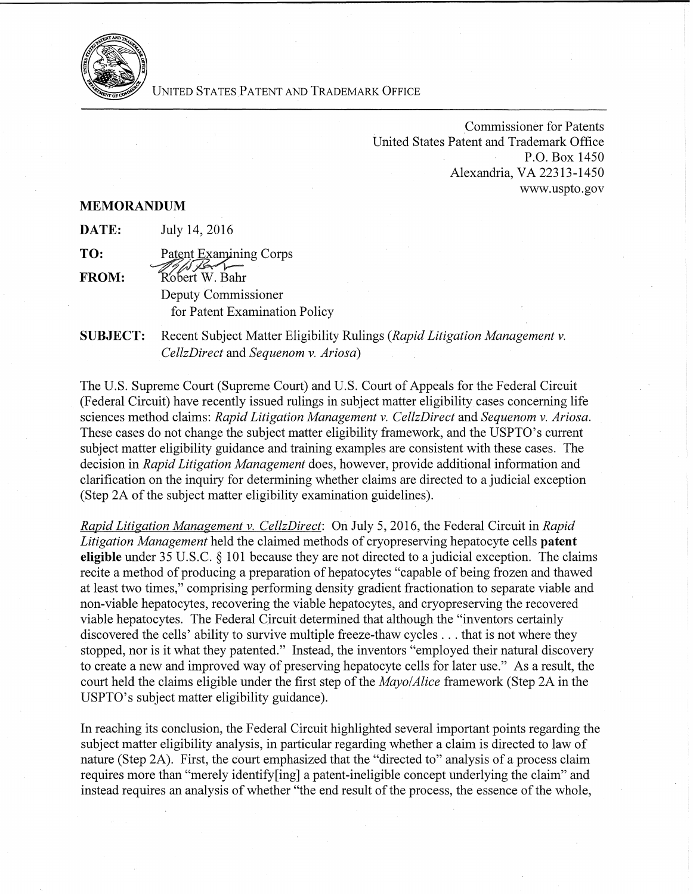

UNITED STATES PATENT AND TRADEMARK OFFICE

Commissioner for Patents United States Patent and Trademark Office P.O. Box 1450 Alexandria, VA 22313-145 0 www.uspto.gov

## **MEMORANDUM**

| DATE: | July 14, 2016 |  |  |
|-------|---------------|--|--|
|-------|---------------|--|--|

**TO:** Patent Examining Corps **FROM:** *Robert W. Bahr* Deputy Commissioner for Patent Examination Policy

**SUBJECT:**  Recent Subject Matter Eligibility Rulings *(Rapid Litigation Management v. CellzDirect* and *Sequenom v. Ariosa)* 

The U.S. Supreme Court (Supreme Court) and U.S. Court of Appeals for the Federal Circuit (Federal Circuit) have recently issued rulings in subject matter eligibility cases concerning life sciences method claims: *Rapid Litigation Management v. CellzDirect* and *Sequenom v. Ariosa.*  These cases do not change the subject matter eligibility framework, and the USPTO's current subject matter eligibility guidance and training examples are consistent with these cases. The decision in *Rapid Litigation Management* does, however, provide additional information and clarification on the inquiry for determining whether claims are directed to a judicial exception (Step 2A of the subject matter eligibility examination guidelines).

*Rapid Litigation Management v. CellzDirect:* On July 5, 2016, the Federal Circuit in *Rapid Litigation Management* held the claimed methods of cryopreserving hepatocyte cells **patent eligible** under 35 U.S.C. § 101 because they are not directed to a judicial exception. The claims recite a method of producing a preparation of hepatocytes "capable of being frozen and thawed at least two times,'' comprising performing density gradient fractionation to separate viable and non-viable hepatocytes, recovering the viable hepatocytes, and cryopreserving the recovered viable hepatocytes. The Federal Circuit determined that although the "inventors certainly discovered the cells' ability to survive multiple freeze-thaw cycles ... that is not where they stopped, nor is it what they patented." Instead, the inventors "employed their natural discovery to create a new and improved way of preserving hepatocyte cells for later use." As a result, the court held the claims eligible under the first step of the *Mayo/Alice* framework (Step 2A in the USPTO's subject matter eligibility guidance).

In reaching its conclusion, the Federal Circuit highlighted several important points regarding the subject matter eligibility analysis, in particular regarding whether a claim is directed to law of nature (Step 2A). First, the court emphasized that the "directed to" analysis of a process claim requires more than "merely identify[ing] a patent-ineligible concept underlying the claim" and instead requires an analysis of whether "the end result of the process, the essence of the whole,